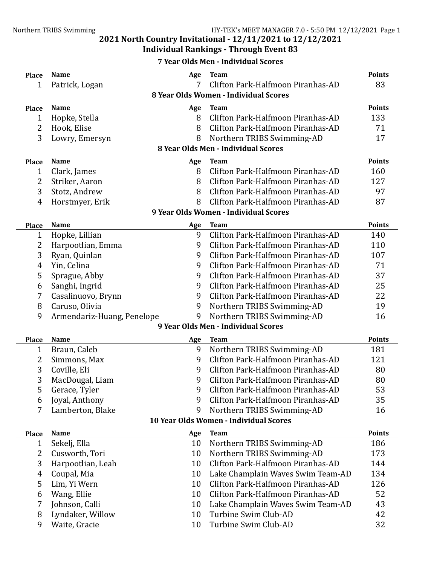# **Individual Rankings - Through Event 83**

## **7 Year Olds Men - Individual Scores**

| <b>Place</b>   | <b>Name</b>                           | Age | <b>Team</b>                            | <b>Points</b> |  |  |  |  |  |
|----------------|---------------------------------------|-----|----------------------------------------|---------------|--|--|--|--|--|
| $\mathbf{1}$   | Patrick, Logan                        | 7   | Clifton Park-Halfmoon Piranhas-AD      | 83            |  |  |  |  |  |
|                | 8 Year Olds Women - Individual Scores |     |                                        |               |  |  |  |  |  |
| <b>Place</b>   | <b>Name</b>                           | Age | <b>Team</b>                            | <b>Points</b> |  |  |  |  |  |
| 1              | Hopke, Stella                         | 8   | Clifton Park-Halfmoon Piranhas-AD      | 133           |  |  |  |  |  |
| 2              | Hook, Elise                           | 8   | Clifton Park-Halfmoon Piranhas-AD      | 71            |  |  |  |  |  |
| 3              | Lowry, Emersyn                        | 8   | Northern TRIBS Swimming-AD             | 17            |  |  |  |  |  |
|                | 8 Year Olds Men - Individual Scores   |     |                                        |               |  |  |  |  |  |
| <b>Place</b>   | <b>Name</b>                           | Age | <b>Team</b>                            | <b>Points</b> |  |  |  |  |  |
| 1              | Clark, James                          | 8   | Clifton Park-Halfmoon Piranhas-AD      | 160           |  |  |  |  |  |
| 2              | Striker, Aaron                        | 8   | Clifton Park-Halfmoon Piranhas-AD      | 127           |  |  |  |  |  |
| 3              | Stotz, Andrew                         | 8   | Clifton Park-Halfmoon Piranhas-AD      | 97            |  |  |  |  |  |
| $\overline{4}$ | Horstmyer, Erik                       | 8   | Clifton Park-Halfmoon Piranhas-AD      | 87            |  |  |  |  |  |
|                | 9 Year Olds Women - Individual Scores |     |                                        |               |  |  |  |  |  |
| <b>Place</b>   | <b>Name</b>                           | Age | <b>Team</b>                            | <b>Points</b> |  |  |  |  |  |
| 1              | Hopke, Lillian                        | 9   | Clifton Park-Halfmoon Piranhas-AD      | 140           |  |  |  |  |  |
| 2              | Harpootlian, Emma                     | 9   | Clifton Park-Halfmoon Piranhas-AD      | 110           |  |  |  |  |  |
| 3              | Ryan, Quinlan                         | 9   | Clifton Park-Halfmoon Piranhas-AD      | 107           |  |  |  |  |  |
| 4              | Yin, Celina                           | 9   | Clifton Park-Halfmoon Piranhas-AD      | 71            |  |  |  |  |  |
| 5              | Sprague, Abby                         | 9   | Clifton Park-Halfmoon Piranhas-AD      | 37            |  |  |  |  |  |
| 6              | Sanghi, Ingrid                        | 9   | Clifton Park-Halfmoon Piranhas-AD      | 25            |  |  |  |  |  |
| 7              | Casalinuovo, Brynn                    | 9   | Clifton Park-Halfmoon Piranhas-AD      | 22            |  |  |  |  |  |
| 8              | Caruso, Olivia                        | 9   | Northern TRIBS Swimming-AD             | 19            |  |  |  |  |  |
| 9              | Armendariz-Huang, Penelope            | 9   | Northern TRIBS Swimming-AD             | 16            |  |  |  |  |  |
|                |                                       |     | 9 Year Olds Men - Individual Scores    |               |  |  |  |  |  |
| <b>Place</b>   | <b>Name</b>                           | Age | <b>Team</b>                            | <b>Points</b> |  |  |  |  |  |
| 1              | Braun, Caleb                          | 9   | Northern TRIBS Swimming-AD             | 181           |  |  |  |  |  |
| 2              | Simmons, Max                          | 9   | Clifton Park-Halfmoon Piranhas-AD      | 121           |  |  |  |  |  |
| 3              | Coville, Eli                          | 9   | Clifton Park-Halfmoon Piranhas-AD      | 80            |  |  |  |  |  |
| 3              | MacDougal, Liam                       | 9   | Clifton Park-Halfmoon Piranhas-AD      | 80            |  |  |  |  |  |
| 5              | Gerace, Tyler                         | 9   | Clifton Park-Halfmoon Piranhas-AD      | 53            |  |  |  |  |  |
| 6              | Joyal, Anthony                        | 9   | Clifton Park-Halfmoon Piranhas-AD      | 35            |  |  |  |  |  |
| 7              | Lamberton, Blake                      | 9   | Northern TRIBS Swimming-AD             | 16            |  |  |  |  |  |
|                |                                       |     | 10 Year Olds Women - Individual Scores |               |  |  |  |  |  |
| <b>Place</b>   | <b>Name</b>                           | Age | <b>Team</b>                            | <b>Points</b> |  |  |  |  |  |
| 1              | Sekelj, Ella                          | 10  | Northern TRIBS Swimming-AD             | 186           |  |  |  |  |  |
| 2              | Cusworth, Tori                        | 10  | Northern TRIBS Swimming-AD             | 173           |  |  |  |  |  |
| 3              | Harpootlian, Leah                     | 10  | Clifton Park-Halfmoon Piranhas-AD      | 144           |  |  |  |  |  |
| 4              | Coupal, Mia                           | 10  | Lake Champlain Waves Swim Team-AD      | 134           |  |  |  |  |  |
| 5              | Lim, Yi Wern                          | 10  | Clifton Park-Halfmoon Piranhas-AD      | 126           |  |  |  |  |  |
| 6              | Wang, Ellie                           | 10  | Clifton Park-Halfmoon Piranhas-AD      | 52            |  |  |  |  |  |
| 7              | Johnson, Calli                        | 10  | Lake Champlain Waves Swim Team-AD      | 43            |  |  |  |  |  |
| 8              | Lyndaker, Willow                      | 10  | Turbine Swim Club-AD                   | 42            |  |  |  |  |  |
| 9              | Waite, Gracie                         | 10  | Turbine Swim Club-AD                   | 32            |  |  |  |  |  |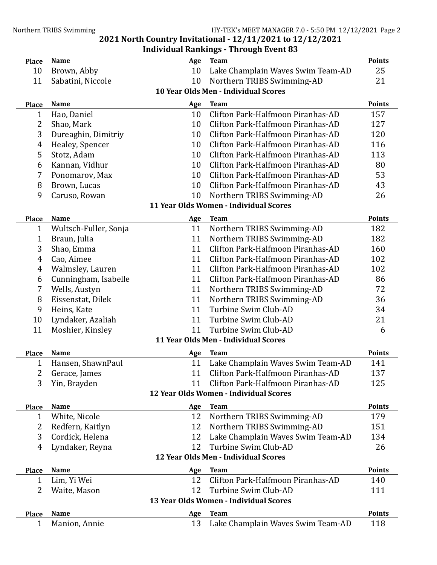## **2021 North Country Invitational - 12/11/2021 to 12/12/2021 Individual Rankings - Through Event 83**

| <b>Place</b>                           | <b>Name</b>                          | Age       | <b>Team</b>                                                                 | <b>Points</b>        |  |  |  |  |
|----------------------------------------|--------------------------------------|-----------|-----------------------------------------------------------------------------|----------------------|--|--|--|--|
| 10                                     | Brown, Abby                          | 10        | Lake Champlain Waves Swim Team-AD                                           | 25                   |  |  |  |  |
| 11                                     | Sabatini, Niccole                    | 10        | Northern TRIBS Swimming-AD                                                  | 21                   |  |  |  |  |
|                                        | 10 Year Olds Men - Individual Scores |           |                                                                             |                      |  |  |  |  |
| <b>Place</b>                           | <b>Name</b>                          | Age       | <b>Team</b>                                                                 | <b>Points</b>        |  |  |  |  |
| 1                                      | Hao, Daniel                          | 10        | Clifton Park-Halfmoon Piranhas-AD                                           | 157                  |  |  |  |  |
| 2                                      | Shao, Mark                           | 10        | Clifton Park-Halfmoon Piranhas-AD                                           | 127                  |  |  |  |  |
| 3                                      | Dureaghin, Dimitriy                  | 10        | Clifton Park-Halfmoon Piranhas-AD                                           | 120                  |  |  |  |  |
| 4                                      | Healey, Spencer                      | 10        | Clifton Park-Halfmoon Piranhas-AD                                           | 116                  |  |  |  |  |
| 5                                      | Stotz, Adam                          | 10        | Clifton Park-Halfmoon Piranhas-AD                                           | 113                  |  |  |  |  |
| 6                                      | Kannan, Vidhur                       | 10        | Clifton Park-Halfmoon Piranhas-AD                                           | 80                   |  |  |  |  |
| 7                                      | Ponomarov, Max                       | 10        | Clifton Park-Halfmoon Piranhas-AD                                           | 53                   |  |  |  |  |
| 8                                      | Brown, Lucas                         | 10        | Clifton Park-Halfmoon Piranhas-AD                                           | 43                   |  |  |  |  |
| 9                                      | Caruso, Rowan                        | 10        | Northern TRIBS Swimming-AD                                                  | 26                   |  |  |  |  |
|                                        |                                      |           | 11 Year Olds Women - Individual Scores                                      |                      |  |  |  |  |
| <b>Place</b>                           | <b>Name</b>                          | Age       | <b>Team</b>                                                                 | <b>Points</b>        |  |  |  |  |
| 1                                      | Wultsch-Fuller, Sonja                | 11        | Northern TRIBS Swimming-AD                                                  | 182                  |  |  |  |  |
| 1                                      | Braun, Julia                         | 11        | Northern TRIBS Swimming-AD                                                  | 182                  |  |  |  |  |
| 3                                      | Shao, Emma                           | 11        | Clifton Park-Halfmoon Piranhas-AD                                           | 160                  |  |  |  |  |
| $\overline{4}$                         | Cao, Aimee                           | 11        | Clifton Park-Halfmoon Piranhas-AD                                           | 102                  |  |  |  |  |
| 4                                      | Walmsley, Lauren                     | 11        | Clifton Park-Halfmoon Piranhas-AD                                           | 102                  |  |  |  |  |
| 6                                      | Cunningham, Isabelle                 | 11        | Clifton Park-Halfmoon Piranhas-AD                                           | 86                   |  |  |  |  |
| 7                                      | Wells, Austyn                        | 11        | Northern TRIBS Swimming-AD                                                  | 72                   |  |  |  |  |
| 8                                      | Eissenstat, Dilek                    | 11        | Northern TRIBS Swimming-AD                                                  | 36                   |  |  |  |  |
| 9                                      | Heins, Kate                          | 11        | Turbine Swim Club-AD                                                        | 34                   |  |  |  |  |
| 10                                     | Lyndaker, Azaliah                    | 11        | Turbine Swim Club-AD                                                        | 21                   |  |  |  |  |
| 11                                     | Moshier, Kinsley                     | 11        | Turbine Swim Club-AD                                                        | 6                    |  |  |  |  |
|                                        |                                      |           | 11 Year Olds Men - Individual Scores                                        |                      |  |  |  |  |
|                                        |                                      |           |                                                                             |                      |  |  |  |  |
| <b>Place</b>                           | <b>Name</b><br>Hansen, ShawnPaul     | Age<br>11 | <b>Team</b>                                                                 | <b>Points</b><br>141 |  |  |  |  |
| 1                                      |                                      |           | Lake Champlain Waves Swim Team-AD                                           |                      |  |  |  |  |
| 2                                      | Gerace, James                        | 11        | Clifton Park-Halfmoon Piranhas-AD                                           | 137                  |  |  |  |  |
| 3                                      | Yin, Brayden                         | 11        | Clifton Park-Halfmoon Piranhas-AD<br>12 Year Olds Women - Individual Scores | 125                  |  |  |  |  |
|                                        |                                      |           |                                                                             |                      |  |  |  |  |
| <b>Place</b>                           | <b>Name</b>                          | Age       | <b>Team</b>                                                                 | <b>Points</b>        |  |  |  |  |
| 1                                      | White, Nicole                        | 12        | Northern TRIBS Swimming-AD                                                  | 179                  |  |  |  |  |
| 2                                      | Redfern, Kaitlyn                     | 12        | Northern TRIBS Swimming-AD                                                  | 151                  |  |  |  |  |
| 3                                      | Cordick, Helena                      | 12        | Lake Champlain Waves Swim Team-AD                                           | 134                  |  |  |  |  |
| 4                                      | Lyndaker, Reyna                      | 12        | Turbine Swim Club-AD                                                        | 26                   |  |  |  |  |
|                                        |                                      |           | 12 Year Olds Men - Individual Scores                                        |                      |  |  |  |  |
| <b>Place</b>                           | <b>Name</b>                          | Age       | <b>Team</b>                                                                 | <b>Points</b>        |  |  |  |  |
| 1                                      | Lim, Yi Wei                          | 12        | Clifton Park-Halfmoon Piranhas-AD                                           | 140                  |  |  |  |  |
| 2                                      | Waite, Mason                         | 12        | Turbine Swim Club-AD                                                        | 111                  |  |  |  |  |
| 13 Year Olds Women - Individual Scores |                                      |           |                                                                             |                      |  |  |  |  |
| <b>Place</b>                           | <b>Name</b>                          | Age       | <b>Team</b>                                                                 | <b>Points</b>        |  |  |  |  |
| 1                                      | Manion, Annie                        | 13        | Lake Champlain Waves Swim Team-AD                                           | 118                  |  |  |  |  |
|                                        |                                      |           |                                                                             |                      |  |  |  |  |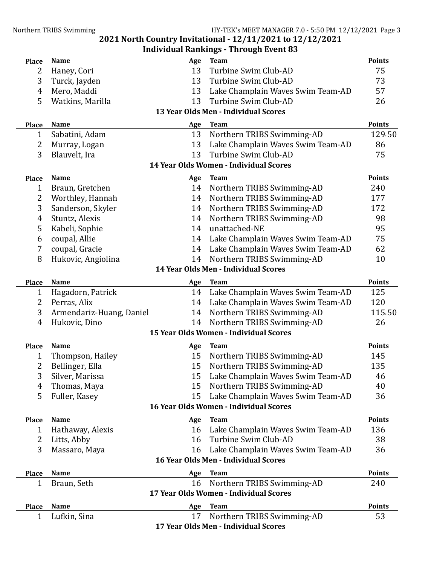#### **2021 North Country Invitational - 12/11/2021 to 12/12/2021 Individual Rankings - Through Event 83**

| <b>Place</b>                           | <b>Name</b>              | Age | <b>Team</b>                            | <b>Points</b> |  |  |
|----------------------------------------|--------------------------|-----|----------------------------------------|---------------|--|--|
| 2                                      | Haney, Cori              | 13  | Turbine Swim Club-AD                   | 75            |  |  |
| 3                                      | Turck, Jayden            | 13  | Turbine Swim Club-AD                   | 73            |  |  |
| 4                                      | Mero, Maddi              | 13  | Lake Champlain Waves Swim Team-AD      | 57            |  |  |
| 5                                      | Watkins, Marilla         | 13  | Turbine Swim Club-AD                   | 26            |  |  |
| 13 Year Olds Men - Individual Scores   |                          |     |                                        |               |  |  |
| <b>Place</b>                           | Name                     | Age | <b>Team</b>                            | <b>Points</b> |  |  |
| 1                                      | Sabatini, Adam           | 13  | Northern TRIBS Swimming-AD             | 129.50        |  |  |
| 2                                      | Murray, Logan            | 13  | Lake Champlain Waves Swim Team-AD      | 86            |  |  |
| 3                                      | Blauvelt, Ira            | 13  | Turbine Swim Club-AD                   | 75            |  |  |
|                                        |                          |     | 14 Year Olds Women - Individual Scores |               |  |  |
| Place                                  | Name                     | Age | <b>Team</b>                            | <b>Points</b> |  |  |
| $\mathbf{1}$                           | Braun, Gretchen          | 14  | Northern TRIBS Swimming-AD             | 240           |  |  |
| $\overline{2}$                         | Worthley, Hannah         | 14  | Northern TRIBS Swimming-AD             | 177           |  |  |
| 3                                      | Sanderson, Skyler        | 14  | Northern TRIBS Swimming-AD             | 172           |  |  |
| 4                                      | Stuntz, Alexis           | 14  | Northern TRIBS Swimming-AD             | 98            |  |  |
| 5                                      | Kabeli, Sophie           | 14  | unattached-NE                          | 95            |  |  |
| 6                                      | coupal, Allie            | 14  | Lake Champlain Waves Swim Team-AD      | 75            |  |  |
| 7                                      | coupal, Gracie           | 14  | Lake Champlain Waves Swim Team-AD      | 62            |  |  |
| 8                                      | Hukovic, Angiolina       | 14  | Northern TRIBS Swimming-AD             | 10            |  |  |
|                                        |                          |     | 14 Year Olds Men - Individual Scores   |               |  |  |
| <b>Place</b>                           | <b>Name</b>              | Age | <b>Team</b>                            | <b>Points</b> |  |  |
| $\mathbf{1}$                           | Hagadorn, Patrick        | 14  | Lake Champlain Waves Swim Team-AD      | 125           |  |  |
| 2                                      | Perras, Alix             | 14  | Lake Champlain Waves Swim Team-AD      | 120           |  |  |
| 3                                      | Armendariz-Huang, Daniel | 14  | Northern TRIBS Swimming-AD             | 115.50        |  |  |
| 4                                      | Hukovic, Dino            | 14  | Northern TRIBS Swimming-AD             | 26            |  |  |
|                                        |                          |     | 15 Year Olds Women - Individual Scores |               |  |  |
| <b>Place</b>                           | <b>Name</b>              | Age | <b>Team</b>                            | <b>Points</b> |  |  |
| $\mathbf{1}$                           | Thompson, Hailey         | 15  | Northern TRIBS Swimming-AD             | 145           |  |  |
| 2                                      | Bellinger, Ella          | 15  | Northern TRIBS Swimming-AD             | 135           |  |  |
| 3                                      | Silver, Marissa          | 15  | Lake Champlain Waves Swim Team-AD      | 46            |  |  |
| 4                                      | Thomas, Maya             | 15  | Northern TRIBS Swimming-AD             | 40            |  |  |
| 5                                      | Fuller, Kasey            | 15  | Lake Champlain Waves Swim Team-AD      | 36            |  |  |
|                                        |                          |     | 16 Year Olds Women - Individual Scores |               |  |  |
| <b>Place</b>                           | <b>Name</b>              | Age | <b>Team</b>                            | <b>Points</b> |  |  |
| 1                                      | Hathaway, Alexis         | 16  | Lake Champlain Waves Swim Team-AD      | 136           |  |  |
| 2                                      | Litts, Abby              | 16  | Turbine Swim Club-AD                   | 38            |  |  |
| 3                                      | Massaro, Maya            | 16  | Lake Champlain Waves Swim Team-AD      | 36            |  |  |
|                                        |                          |     | 16 Year Olds Men - Individual Scores   |               |  |  |
| <b>Place</b>                           | <b>Name</b>              | Age | <b>Team</b>                            | <b>Points</b> |  |  |
| $\mathbf{1}$                           | Braun, Seth              | 16  | Northern TRIBS Swimming-AD             | 240           |  |  |
| 17 Year Olds Women - Individual Scores |                          |     |                                        |               |  |  |
| <b>Place</b>                           | <b>Name</b>              | Age | <b>Team</b>                            | <b>Points</b> |  |  |
| $\mathbf{1}$                           | Lufkin, Sina             | 17  | Northern TRIBS Swimming-AD             | 53            |  |  |
|                                        |                          |     | 17 Year Olds Men - Individual Scores   |               |  |  |